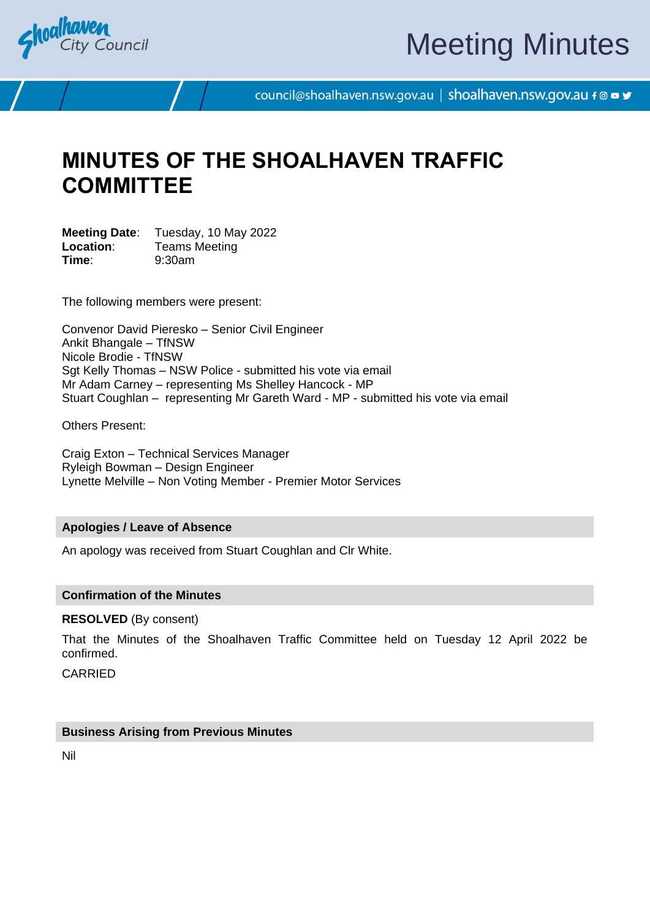

# Meeting Minutes

council@shoalhaven.nsw.gov.au | shoalhaven.nsw.gov.au f @ ■ y

# **MINUTES OF THE SHOALHAVEN TRAFFIC COMMITTEE**

**Meeting Date**: Tuesday, 10 May 2022 **Location:** Teams Meeting **Time**: 9:30am

The following members were present:

Convenor David Pieresko – Senior Civil Engineer Ankit Bhangale – TfNSW Nicole Brodie - TfNSW Sgt Kelly Thomas – NSW Police - submitted his vote via email Mr Adam Carney – representing Ms Shelley Hancock - MP Stuart Coughlan – representing Mr Gareth Ward - MP - submitted his vote via email

Others Present:

Craig Exton – Technical Services Manager Ryleigh Bowman – Design Engineer Lynette Melville – Non Voting Member - Premier Motor Services

#### **Apologies / Leave of Absence**

An apology was received from Stuart Coughlan and Clr White.

#### **Confirmation of the Minutes**

**RESOLVED** (By consent)

That the Minutes of the Shoalhaven Traffic Committee held on Tuesday 12 April 2022 be confirmed.

CARRIED

#### **Business Arising from Previous Minutes**

Nil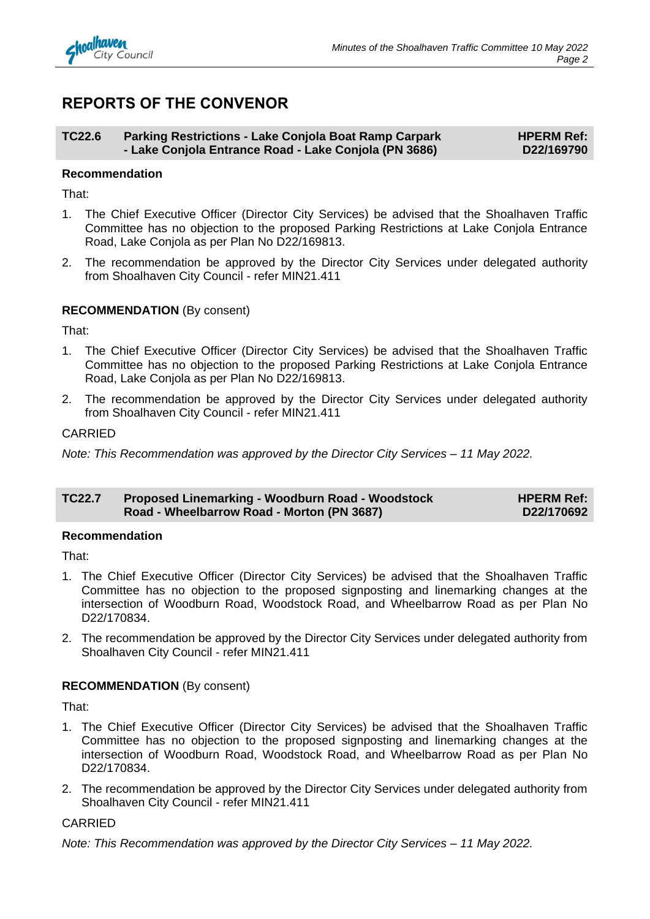

## **REPORTS OF THE CONVENOR**

#### **TC22.6 Parking Restrictions - Lake Conjola Boat Ramp Carpark - Lake Conjola Entrance Road - Lake Conjola (PN 3686) HPERM Ref: D22/169790**

#### **Recommendation**

That:

- 1. The Chief Executive Officer (Director City Services) be advised that the Shoalhaven Traffic Committee has no objection to the proposed Parking Restrictions at Lake Conjola Entrance Road, Lake Conjola as per Plan No D22/169813.
- 2. The recommendation be approved by the Director City Services under delegated authority from Shoalhaven City Council - refer MIN21.411

#### **RECOMMENDATION** (By consent)

That:

- 1. The Chief Executive Officer (Director City Services) be advised that the Shoalhaven Traffic Committee has no objection to the proposed Parking Restrictions at Lake Conjola Entrance Road, Lake Conjola as per Plan No D22/169813.
- 2. The recommendation be approved by the Director City Services under delegated authority from Shoalhaven City Council - refer MIN21.411

#### CARRIED

*Note: This Recommendation was approved by the Director City Services – 11 May 2022.*

| <b>TC22.7</b> | <b>Proposed Linemarking - Woodburn Road - Woodstock</b> | <b>HPERM Ref:</b> |
|---------------|---------------------------------------------------------|-------------------|
|               | Road - Wheelbarrow Road - Morton (PN 3687)              | D22/170692        |

#### **Recommendation**

That:

- 1. The Chief Executive Officer (Director City Services) be advised that the Shoalhaven Traffic Committee has no objection to the proposed signposting and linemarking changes at the intersection of Woodburn Road, Woodstock Road, and Wheelbarrow Road as per Plan No D22/170834.
- 2. The recommendation be approved by the Director City Services under delegated authority from Shoalhaven City Council - refer MIN21.411

#### **RECOMMENDATION** (By consent)

That:

- 1. The Chief Executive Officer (Director City Services) be advised that the Shoalhaven Traffic Committee has no objection to the proposed signposting and linemarking changes at the intersection of Woodburn Road, Woodstock Road, and Wheelbarrow Road as per Plan No D22/170834.
- 2. The recommendation be approved by the Director City Services under delegated authority from Shoalhaven City Council - refer MIN21.411

#### CARRIED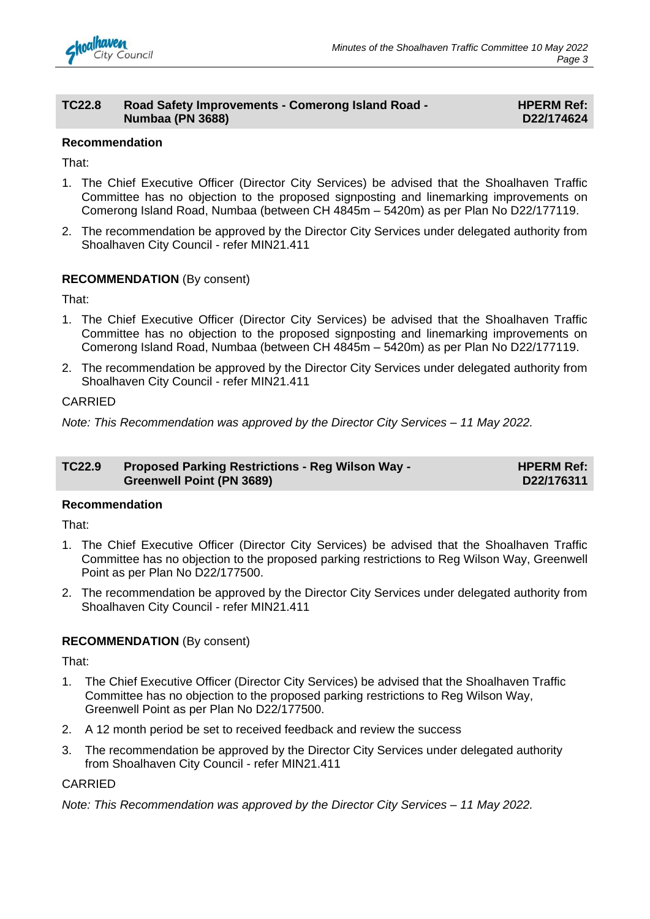

#### **TC22.8 Road Safety Improvements - Comerong Island Road - Numbaa (PN 3688)**

#### **HPERM Ref: D22/174624**

#### **Recommendation**

That:

- 1. The Chief Executive Officer (Director City Services) be advised that the Shoalhaven Traffic Committee has no objection to the proposed signposting and linemarking improvements on Comerong Island Road, Numbaa (between CH 4845m – 5420m) as per Plan No D22/177119.
- 2. The recommendation be approved by the Director City Services under delegated authority from Shoalhaven City Council - refer MIN21.411

### **RECOMMENDATION** (By consent)

That:

- 1. The Chief Executive Officer (Director City Services) be advised that the Shoalhaven Traffic Committee has no objection to the proposed signposting and linemarking improvements on Comerong Island Road, Numbaa (between CH 4845m – 5420m) as per Plan No D22/177119.
- 2. The recommendation be approved by the Director City Services under delegated authority from Shoalhaven City Council - refer MIN21.411

#### CARRIED

*Note: This Recommendation was approved by the Director City Services – 11 May 2022.*

| <b>TC22.9</b> | <b>Proposed Parking Restrictions - Reg Wilson Way -</b> | <b>HPERM Ref:</b> |
|---------------|---------------------------------------------------------|-------------------|
|               | <b>Greenwell Point (PN 3689)</b>                        | D22/176311        |

#### **Recommendation**

That:

- 1. The Chief Executive Officer (Director City Services) be advised that the Shoalhaven Traffic Committee has no objection to the proposed parking restrictions to Reg Wilson Way, Greenwell Point as per Plan No D22/177500.
- 2. The recommendation be approved by the Director City Services under delegated authority from Shoalhaven City Council - refer MIN21.411

#### **RECOMMENDATION** (By consent)

That:

- 1. The Chief Executive Officer (Director City Services) be advised that the Shoalhaven Traffic Committee has no objection to the proposed parking restrictions to Reg Wilson Way, Greenwell Point as per Plan No D22/177500.
- 2. A 12 month period be set to received feedback and review the success
- 3. The recommendation be approved by the Director City Services under delegated authority from Shoalhaven City Council - refer MIN21.411

#### CARRIED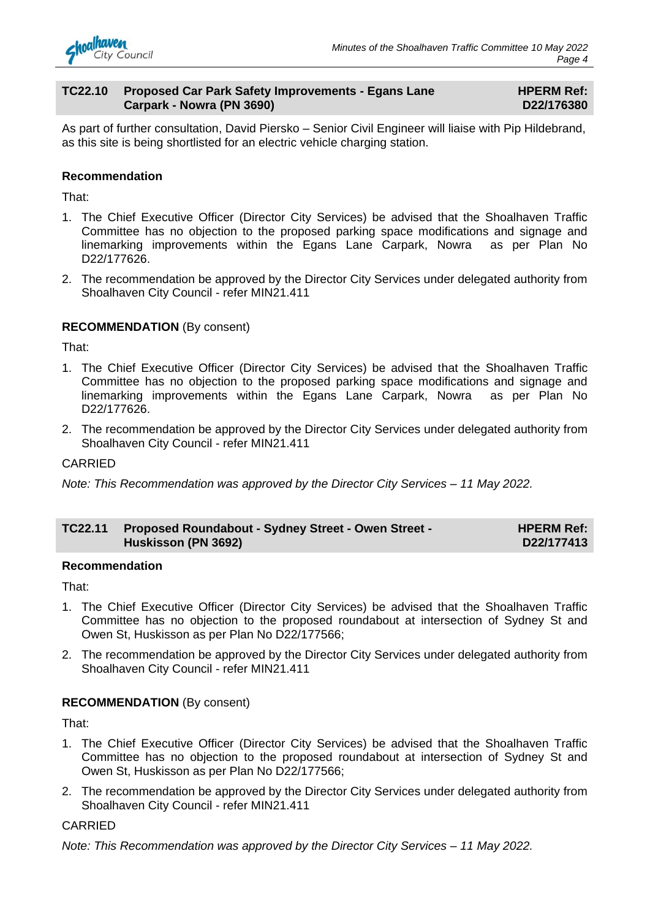

#### **TC22.10 Proposed Car Park Safety Improvements - Egans Lane Carpark - Nowra (PN 3690)**

#### **HPERM Ref: D22/176380**

As part of further consultation, David Piersko – Senior Civil Engineer will liaise with Pip Hildebrand, as this site is being shortlisted for an electric vehicle charging station.

#### **Recommendation**

That:

- 1. The Chief Executive Officer (Director City Services) be advised that the Shoalhaven Traffic Committee has no objection to the proposed parking space modifications and signage and linemarking improvements within the Egans Lane Carpark, Nowra as per Plan No D22/177626.
- 2. The recommendation be approved by the Director City Services under delegated authority from Shoalhaven City Council - refer MIN21.411

#### **RECOMMENDATION** (By consent)

That:

- 1. The Chief Executive Officer (Director City Services) be advised that the Shoalhaven Traffic Committee has no objection to the proposed parking space modifications and signage and linemarking improvements within the Egans Lane Carpark, Nowra as per Plan No D22/177626.
- 2. The recommendation be approved by the Director City Services under delegated authority from Shoalhaven City Council - refer MIN21.411

#### CARRIED

*Note: This Recommendation was approved by the Director City Services – 11 May 2022.*

| TC22.11 Proposed Roundabout - Sydney Street - Owen Street - | <b>HPERM Ref:</b> |
|-------------------------------------------------------------|-------------------|
| <b>Huskisson (PN 3692)</b>                                  | D22/177413        |

#### **Recommendation**

That:

- 1. The Chief Executive Officer (Director City Services) be advised that the Shoalhaven Traffic Committee has no objection to the proposed roundabout at intersection of Sydney St and Owen St, Huskisson as per Plan No D22/177566;
- 2. The recommendation be approved by the Director City Services under delegated authority from Shoalhaven City Council - refer MIN21.411

#### **RECOMMENDATION** (By consent)

That:

- 1. The Chief Executive Officer (Director City Services) be advised that the Shoalhaven Traffic Committee has no objection to the proposed roundabout at intersection of Sydney St and Owen St, Huskisson as per Plan No D22/177566;
- 2. The recommendation be approved by the Director City Services under delegated authority from Shoalhaven City Council - refer MIN21.411

#### CARRIED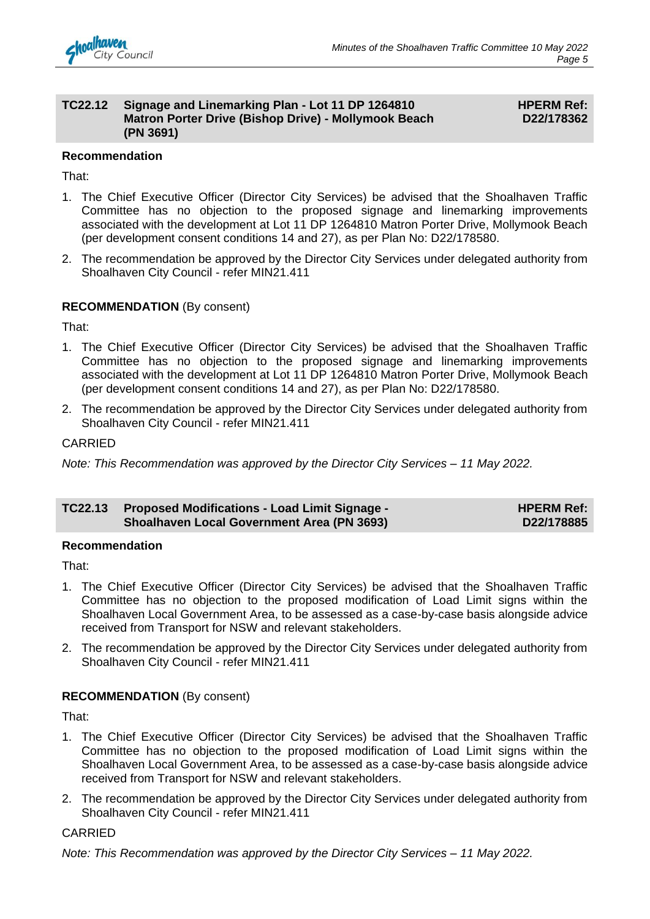#### **TC22.12 Signage and Linemarking Plan - Lot 11 DP 1264810 Matron Porter Drive (Bishop Drive) - Mollymook Beach (PN 3691)**

#### **HPERM Ref: D22/178362**

#### **Recommendation**

That:

- 1. The Chief Executive Officer (Director City Services) be advised that the Shoalhaven Traffic Committee has no objection to the proposed signage and linemarking improvements associated with the development at Lot 11 DP 1264810 Matron Porter Drive, Mollymook Beach (per development consent conditions 14 and 27), as per Plan No: D22/178580.
- 2. The recommendation be approved by the Director City Services under delegated authority from Shoalhaven City Council - refer MIN21.411

### **RECOMMENDATION** (By consent)

That:

- 1. The Chief Executive Officer (Director City Services) be advised that the Shoalhaven Traffic Committee has no objection to the proposed signage and linemarking improvements associated with the development at Lot 11 DP 1264810 Matron Porter Drive, Mollymook Beach (per development consent conditions 14 and 27), as per Plan No: D22/178580.
- 2. The recommendation be approved by the Director City Services under delegated authority from Shoalhaven City Council - refer MIN21.411

#### CARRIED

*Note: This Recommendation was approved by the Director City Services – 11 May 2022.*

#### **TC22.13 Proposed Modifications - Load Limit Signage - Shoalhaven Local Government Area (PN 3693) HPERM Ref: D22/178885**

#### **Recommendation**

That:

- 1. The Chief Executive Officer (Director City Services) be advised that the Shoalhaven Traffic Committee has no objection to the proposed modification of Load Limit signs within the Shoalhaven Local Government Area, to be assessed as a case-by-case basis alongside advice received from Transport for NSW and relevant stakeholders.
- 2. The recommendation be approved by the Director City Services under delegated authority from Shoalhaven City Council - refer MIN21.411

#### **RECOMMENDATION** (By consent)

That:

- 1. The Chief Executive Officer (Director City Services) be advised that the Shoalhaven Traffic Committee has no objection to the proposed modification of Load Limit signs within the Shoalhaven Local Government Area, to be assessed as a case-by-case basis alongside advice received from Transport for NSW and relevant stakeholders.
- 2. The recommendation be approved by the Director City Services under delegated authority from Shoalhaven City Council - refer MIN21.411

#### CARRIED